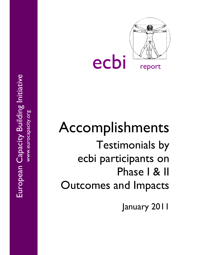

# Accomplishments Testimonials by ecbi participants on Phase I & II Outcomes and Impacts

January 2011

European Capacity Building Initiative European Capacity Building Initiative www.eurocapacity.org<br>www.eurocapacity.org www.eurocapacity.org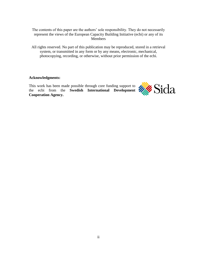The contents of this paper are the authors' sole responsibility. They do not necessarily represent the views of the European Capacity Building Initiative (ecbi) or any of its Members

All rights reserved. No part of this publication may be reproduced, stored in a retrieval system, or transmitted in any form or by any means, electronic, mechanical, photocopying, recording, or otherwise, without prior permission of the ecbi.

## **Acknowledgments:**

This work has been made possible through core funding support to the ecbi from the **Swedish International Development Cooperation Agency.**

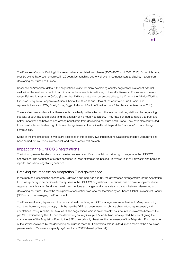

ecbi

The European Capacity Building Initiative (ecbi) has completed two phases (2005-2007, and 2008-2010). During this time, over 60 events have been organised in 20 countries, reaching out to well over 1100 negotiators and policy makers from developing countries and Europe.

Described as "important dates in the negotiations' diary" for many developing country negotiators in a recent external evaluation, the level and extent of participation in these events is testimony to their effectiveness. For instance, the most recent Fellowship session in Oxford (September 2010) was attended by, among others, the Chair of the Ad-Hoc Working Group on Long-Term Cooperative Action, Chair of the Africa Group, Chair of the Adaptation Fund Board, and representatives from LDCs, Brazil, China, Egypt, India, and South Africa (the host of the climate conference in 2011).

There is also clear evidence that these events have had positive effects on the international negotiations, the negotiating capacity of countries and regions, and the capacity of individual negotiators. They have contributed tangibly to trust and better understanding between and among negotiators from developing countries and Europe. They have also contributed towards a better understanding of climate change issues at the national level, beyond the 'traditional' climate change communities.

Some of the impacts of ecbi's works are described in this section. Two independent evaluations of ecbi's work have also been carried out by Helios International, and can be obtained from ecbi.

# Impact on the UNFCCC negotiations

The following examples demonstrate the effectiveness of ecbi's approach in contributing to progress in the UNFCCC negotiations. The sequence of events described in these examples are backed-up by web links to Fellowship and Seminar reports, and official negotiating positions.

## Breaking the impasse on Adaptation Fund governance

In the months preceding the second ecbi Fellowship and Seminar in 2006, the governance arrangements for the Adaptation Fund was proving to be particularly thorny issue in the UNFCCC negotiations. The discussions on how to implement and organise the Adaptation Fund was rife with acrimonious exchanges and a great deal of distrust between developed and developing countries. One of the main points of contention was whether the Washington--based Global Environment Facility (GEF) should be managing the Fund or not.

The European Union, Japan and other industrialised countries, saw GEF management as self-evident. Many developing countries, however, were unhappy with the way the GEF had been managing climate change funding in general, and adaptation funding in particular. As a result, the negotiations were in an apparently insurmountable stalemate between the pro-GEF faction led by the EU, and the developing country Group of 77 and China, who rejected the idea of giving the management of the Adaptation Fund to the GEF. Unsurprisingly, therefore, the governance of the Adaptation Fund was one of the key issues raised by the developing countries in the 2006 Fellowships held in Oxford. (For a report of the discussion, please see [http://www.eurocapacity.org/downloads/2006FellowshipFlyer.pdf\)](http://www.eurocapacity.org/downloads/2006FellowshipFlyer.pdf).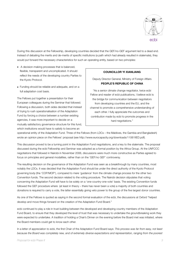

During this discussion at the Fellowship, developing countries decided that the GEF/no-GEF argument led to a dead end. Instead of debating the merits and de-merits of specific institutions (a path which had already resulted in stalemate), they would put forward the necessary characteristics for such an operating entity, based on two principles:

- A decision-making processes that is balanced, flexible, transparent and uncomplicated. It should reflect the needs of the developing country Parties to the Kyoto Protocol.
- Funding should be reliable and adequate, and on a full adaptation cost basis.

The Fellows put together a presentation for their European colleagues during the Seminar that followed. Following a discussion, both sides decided that instead of trying to rush operationalisation of the Adaptation Fund by forcing a choice between a number existing agencies, it was more important to decide on a mutually satisfactory governance structure for this fund, which institutions would have to satisfy to become an

## **COUNCILLOR YI XIANLIANG**

Deputy Director General, Ministry of Foreign Affairs **PEOPLE'S REPUBLIC OF CHINA**

"As a senior climate change negotiator, twice ecbi Fellow and reader of ecbi publications, I believe ecbi is the bridge for communication between negotiators from developing countries and the EU, and the channel to promote a comprehensive understanding of each other. I fully appreciate the outcomes and contribution made by ecbi to promote progress in the hard negotiations."

operational entity of the Adaptation Fund. Three of the Fellows (from LDCs – the Maldives, the Gambia and Bangladesh) wrote an opinion piece on the Fellows' proposal (see<http://www.eurocapacity.org/downloads/11061IIED.pdf>).

This discussion proved to be a turning point in the Adaptation Fund negotiations, and a key to the stalemate. The proposal discussed during the ecbi Fellowship and Seminar was adopted as a formal position by the Africa Group. At the UNFCCC negotiations that followed in Nairobi in November 2006, discussions were much more constructive as Parties agreed to focus on principles and general modalities, rather than on the 'GEF/no GEF' controversy.

The resulting decision on the governance of the Adaptation Fund was seen as a breakthrough by many countries, most notably the LDCs. It was decided that the Adaptation Fund should be under the direct authority of the Kyoto Protocol governing body (the 'COP/MOP'), compared to mere 'guidance' from the climate change process for the other two Convention funds. The second decision related to the voting procedure. The Nairobi decision stipulates that voting concerning the Adaptation Fund will have to be solely on a 'one-country-one-vote' basis. The existing Convention funds followed the GEF procedure where (at least in theory – there has never been a vote) a majority of both countries and donations is required to carry a vote, the latter essentially giving veto power to the group of the five largest donor countries.

As one of the Fellows is quoted as saying in the second formal evaluation of the ecbi, the discussions at Oxford "helped develop and move things forward on the creation of the Adaptation Fund Board."

ecbi continued to play a role in trust building between the developed and developing country members of the Adaptation Fund Board, to ensure that they developed the level of trust that was necessary to undertake the groundbreaking work they were expected to undertake. A tradition of holding a Chair's Dinner on the evening before the Board met was initiated, where the Board members could get to know each other.

In a letter of appreciation to ecbi, the first Chair of the Adaptation Fund Board says: *This process was far from easy, not least because the Board was completely new, and of extremely diverse expectations and representation, ranging from the poorest*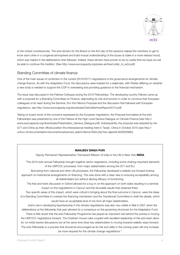

*to the richest constituencies. The ecbi dinners for the Board on the first day of the sessions helped the members to get to know each other in a congenial atmosphere and build mutual understanding of the issues at stake in a more relaxed mood,*  which was helpful in the deliberations that followed. Indeed, these dinners have proven to be so useful that we hope we will *be able to continue this tradition*. (See [http://www.eurocapacity.org/press-archive/Letter\\_to\\_ecbi.pdf](http://www.eurocapacity.org/press-archive/Letter_to_ecbi.pdf))

# Standing Committee of climate finance

One of the main issues of contention in the current (2010/2011) negotiations is the governance arrangements for climate change finance. As with the Adaptation Fund, the discussions were headed for a stalemate, with Parties differing on whether a new body is needed to support the COP in overseeing and providing guidance to the financial mechanism.

The issue was discussed in the Fellows Colloquia during the 2010 Fellowships. The developing country Fellows came up with a proposal for a Standing Committee on Finance, elaborating its role and function in order to convince their European colleagues of its need during the Seminar. (For the Fellow's Proposal and the discussion that followed with European negotiators, see<http://www.eurocapacity.org/downloads/OxfordSeminarReport2010.pdf>)

Taking on board some of the concerns expressed by the European negotiators, the Proposal formulated at the ecbi Fellowships was presented by one of the Fellows at the High Level Geneva Dialogue on Climate Finance (see [http://](http://www.eurocapacity.org/downloads/Presentation_Geneva_Dialogue.pdf) [www.eurocapacity.org/downloads/Presentation\\_Geneva\\_Dialogue.pdf](http://www.eurocapacity.org/downloads/Presentation_Geneva_Dialogue.pdf)). Subsequently, the proposal was adopted by the G77 and China as their official position the intersessional meeting held in Tianjin, China in October 2010 (see [http://](http://unfccc.int/documentation/documents/advanced_search/items/3594.php?rec=j&priref=600005985) [unfccc.int/documentation/documents/advanced\\_search/items/3594.php?rec=j&priref=600005985](http://unfccc.int/documentation/documents/advanced_search/items/3594.php?rec=j&priref=600005985)).

## **MANJEEV SINGH PURI**

Deputy Permanent Representative, Permanent Mission of India to the UN in New York **INDIA**

"The 2010 ecbi annual Fellowship brought together senior negotiators, including some chairing important elements of the UNFCCC processes, from major stakeholders among the G77 and EU.

Borrowing from national and other UN processes, the Fellowship developed a realistic but forward looking approach on institutional arrangements on financing. This was done with a clear view to ensuring acceptability among all stakeholders but without diluting efficacy of functioning.

The free and frank discussion in Oxford allowed for a buy-in on the approach on both sides resulting in a seminal impact on the negotiations in Cancun and the favorable results that obtained there.

Two specific areas of this impact, which were critical in bringing about the final outcome in Cancun, were the ideas of a Standing Committee to oversee the financing mechanism and the Transitional Committee to draft the details, which would have an acceptable level of mix from all major stakeholders.

ecbi's role in developing bipartisanship in the climate negotiations was also very visible in Bali in 2007 when the deliberations at the fellowship that year allowed for a consensus on the governing structures for the Adaptation Fund.

There is little doubt that the ecbi Fellowship Programme has played an important role behind the scenes in moving the UNFCCC negotiations forward. The Chatham House rules coupled with excellent leadership of the ecbi team allow for no-holds barred discussions but at the same time draw key stakeholders to moving towards realistic ways forward. The ecbi Fellowship is a process that should be encouraged as its role and utility in the coming years will only increase be more required for the climate change negotiations."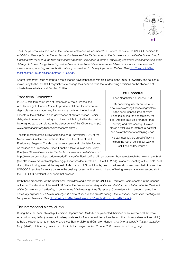

The G77 proposal was adopted at the Cancun Conference in December 2010, where Parties to the UNFCCC decided to *establish a Standing Committee under the Conference of the Parties to assist the Conference of the Parties in exercising its functions with respect to the financial mechanism of the Convention in terms of improving coherence and coordination in the delivery of climate change financing, rationalization of the financial mechanism, mobilization of financial resources and measurement, reporting and verification of support provided to developing country Parties.* (See [http://unfccc.int/files/](http://unfccc.int/files/meetings/cop_16/application/pdf/cop16_lca.pdf) [meetings/cop\\_16/application/pdf/cop16\\_lca.pdf](http://unfccc.int/files/meetings/cop_16/application/pdf/cop16_lca.pdf)).

Another important issue related to climate finance governance that was discussed in the 2010 Fellowships, and caused a major Party to the UNFCCC negotiations to change their position, was that of devolving decisions on the allocation of climate finance to National Funding Entities.

## Transitional Committee

In 2010, ecbi formed a Circle of Experts on Climate Finance and Architecture (ecbi Finance Circle) to provide a platform for informal indepth discussions among key Parties and experts on the technical aspects of the architecture and governance of climate finance. Senior delegates from most of the key countries contributing to this discussion have signed up to participate in the discussions of this Circle (see [http://](http://www.eurocapacity.org/finance/financehome.shtml) [www.eurocapacity.org/finance/financehome.shtml\)](http://www.eurocapacity.org/finance/financehome.shtml).

The fifth meeting of this Circle took place on 30 November 2010 at the Moon Palace Conference Centre in Cancun, in the office of the EU Presidency (Belgium). The discussion, very open and collegiate, focused on the idea of a Transitional Expert Panel put forward in an ecbi Policy Brief (see *Climate Finance after Tianjin: How to reach a deal at Cancun?*

#### **PAUL BODNAR**

Lead Negotiator on Finance **USA**

"By convening friendly but serious discussions among finance negotiators in the ecbi Finance Circle at critical junctures during the negotiations, the ecbi Director gave us a forum for trust-

building and idea-sharing. He also played a vital role as intellectual catalyst and as synthesiser of emerging ideas.

He can justifiably be proud of having helped the rest of us find our way to solutions on key issues."

<http://www.eurocapacity.org/downloads/FinanceAfterTianjin.pdf>) and in an article on *How to establish the new climate fun[d](http://www.oxfordclimatepolicy.org/publications/documents/OUTREACH-02.pdf)* [\(see http://www.oxfordclimatepolicy.org/publications/documents/OUTREACH-02.pdf\)](http://www.oxfordclimatepolicy.org/publications/documents/OUTREACH-02.pdf). In another meeting of the Circle, held during the following week at the request of Mexican and US participants, one of the ideas discussed was that of having the UNFCCC Executive Secretary convene the design process for the new fund, and of having relevant agencies second staff to the UNFCCC Secretariat to support that process.

Both these proposals, for the Transitional Committee and a role for the UNFCCC Secretariat, were adopted in the Cancun outcome. The decision of the AWGLCA *invites the Executive Secretary of the secretariat, in consultation with the President of the Conference of the Parties, to convene the initial meeting of the Transitional Committee, with members having the necessary experience and skills, notably in the area of finance and climate change; the transitional committee meetings will be open to observers*. (See [http://unfccc.int/files/meetings/cop\\_16/application/pdf/cop16\\_lca.pdf\)](http://unfccc.int/files/meetings/cop_16/application/pdf/cop16_lca.pdf).

## The international air travel levy

During the 2006 ecbi Fellowship, Cameron Hepburn and Benito Müller presented their idea of an International Air Travel Adaptation Levy (IATAL), a means to raise private sector funds as an international levy on the rich (regardless of their origin) to help the poor adapt to climate change (see Benito Müller and Cameron Hepburn, *An 'International Air Travel Adaptation Levy' (IATAL): Outline Proposal*, Oxford Institute for Energy Studies: October 2006. [www.OxfordEnergy.org](http://www.OxfordEnergy.org)).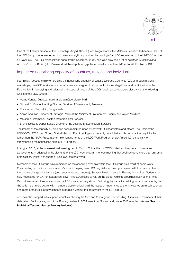

One of the Fellows present at the Fellowship, Amjad Abdulla (Lead Negotiator for the Maldives), went on to become Chair of the LDC Group. He requested ecbi to provide analytic support for the drafting of an LDC submission to the UNFCCC on the air travel levy. The LDC proposal was submitted in December 2008. ecbi also provided a list of "*Thirteen Questions and Answers*" on the IAPAL (http://[www.oxfordclimatepolicy.org/publications/documents/ecbiBrief-IAPAL13Q&As.pdf1](http://www.oxfordclimatepolicy.org/publications/documents/ecbiBrief-IAPAL13Q&As.pdf)3).

# Impact on negotiating capacity of countries, regions and individuals

ecbi initially focused mainly on building the negotiating capacity of Least Developed Countries (LDCs) through regional workshops, pre-COP workshops, special bursaries designed to allow continuity in delegations, and participation in the Fellowships. In identifying and addressing the special needs of the LDCs, ecbi has collaborated closely with the following Chairs of the LDC Group:

- Mama Konaté, Directeur national de la météorologie, Mali
- Richard S. Muyungi, Acting Director, Division of Environment, Tanzania
- Mohammed Reazuddin, Bangladesh
- Amjad Àbdullah, Director of Strategic Policy at the Ministry of Environment, Energy and Water, Maldives
- Motsome Limomane, Lesotho Meteorological Services
- Bruno Tseliso Morapeli Sekoli, Director of the Lesotho Meteorological Services

The impact of the capacity building has been remarked upon by several LDC negotiators and others. The Chair of the UNFCCC's LDC Expert Group, Onduri Machulu Fred from Uganda, recently noted that ecbi is perhaps the only Initiative (other than the NAPA Preparation) implementing items of the LDC Work Program under Article 4.9, particularly on strengthening the negotiating skills of LDC Parties.

In August 2010, at the intersessional meeting held in Tianjin, China, the UNFCCC invited ecbi to present its work and achievements in addressing the elements of the LDC work programme, commenting that ecbi has done more than any other organisation/ initiative to support LDCs over the past years.

Members of the LDC group have remarked on the changing dynamic within the LDC group as a result of ecbi's work. Commenting on the importance of ecbi's work in helping new LDC negotiators come up to speed with the complexities of the climate change negotiations (both substance and process), Sumaya Zakeldin, an ecbi Bursary holder from Sudan who now negotiates for G77 on adaptation, says: "The LDCs used to rely on the bigger regional groupings such as the Africa Group to represent their interests, as the LDCs were not very strong. Following the capacity building work done by ecbi, the Group is much more active, with members closely following all the issues of importance to them. Now we are much stronger and more proactive. Nobody can take a decision without the agreement of the LDC Group."

ecbi has also stepped in to support countries chairing the G77 and China group, by providing Bursaries to members of their delegation. For instance, two of the Bursary holders in 2009 were from Sudan, and one in 2010 was from Yemen (**See box: Individual Testimonies by Bursary Holders**)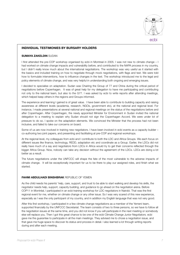

## ecbi

#### **INDIVIDUAL TESTIMONIES BY BURSARY HOLDERS**

#### **SUMAYA ZAKELDIN** SUDAN

I first attended the pre-COP workshop organised by ecbi in Montreal in 2005. I was not new to climate change – I had worked on climate change impacts and vulnerability before, and contributed to the NAPA process in my country, but I didn't really know much about the international negotiations. The workshop was very useful as it started with the basics and included training on how to negotiate through mock negotiations, with flags and text. We were told how to formulate interventions, how to influence changes in the text. The workshop introduced me to the legal and policy elements of climate change, and was very helpful in understanding both ongoing and emerging issues.

I decided to specialise on adaptation. Sudan was Chairing the Group of 77 and China during the critical period of negotiations before Copenhagen. It was of great help for my delegation to have me participating and contributing not only to the national team, but also to the G77. I was asked by ecbi to write reports after attending meetings, which helped keep others in the regions and Groups informed.

The experience and learning I gained is of great value. I have been able to contribute to building capacity and raising awareness at different levels (academia, research, NGOs, government etc), at the national and regional level. For instance, I made presentations at several national and regional meetings on the status of the negotiations before and after Copenhagen. After Copenhagen, the newly appointed Minister for Environment in Sudan invited the national delegation to a meeting to explain why Sudan should not sign the Copenhagen Accord. We were under lot of pressure to do so. I spoke on the adaptation elements. We convinced the Minister that the process had not been inclusive, and failed to take our concerns on board.

Some of us are now involved in training new negotiators. I have been involved in ecbi events as a capacity builder – co-authoring two joint papers, and presenting and facilitating at pre-COP and regional workshops.

At the regional level, my colleagues from ecbi and I contribute to both the LDC and Africa Groups. We each focus on different issues like finance, technology, REDD, adaptation etc and coordinate as a Group. Earlier, the LDCs did not really have much of a say and negotiators from LDCs in Africa would try to get their concerns reflected through the bigger Africa Group. Now, nobody can take any decision without the agreement of the LDCs. LDCs are doing a lot better as a result.

The future negotiations under the UNFCCC will shape the fate of the most vulnerable to the adverse impacts of climate change. It will be exceptionally important for us to be there to play our assigned roles, and finish what we started.

#### **FAHMI ABDULHADI BINSHBRAK** REPUBLIC OF YEMEN

As the child needs his parents' help, care, support, and trust to be able to start walking and develop his skills, the negotiator needs help, support, capacity building, and guidance to go ahead on the negotiation arena. Before COP11 in Montréal, I participated in an ecbi training workshop for LDC negotiators in Nairobi. That was the first regional event for me, whether on climate change or any other issue. So I was very scared of this new experience, especially as I was the only participant of my country, and in addition my English language that was not very good.

After this first workshop, I participated in a few climate change negotiations as a member of the Yemeni team, supported financially by the UNFCCC Secretariat. The team consists of two to three persons, so we have to follow all the negotiation issues at the same time, and you did not know if you will participate in the next meeting or somebody else will replace you. Then I got this great chance to be one of the ecbi Climate Change Junior Negotiators. ecbi gave me the guarantee to participate in all the main meetings. They advised me to chose a negotiation issue, and that gave me huge space to discover its status and process in detail. I also learned a lot through writing reports during and after each meeting.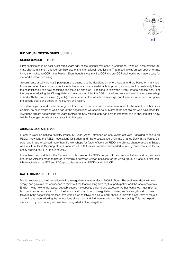

# ecbi

## **INDIVIDUAL TESTIMONIES** (CONTD.)

#### **GEBRU JEMBER** ETHIOPIA

I first participated in an ecbi event three years ago, at the regional workshop in Gabarrone. I worked in the national climate change unit then, but had very little idea of the international negotiations. That meeting was an eye-opener for me. I was then invited to COP-14 in Poznan. Even though it was my first COP, the pre-COP ecbi workshop made it easy for me, and it wasn't confusing.

Governments usually allow 2-3 participants to attend, but the decisions on who should attend are based on many factors – and often there is no continuity. ecbi has a much more sustainable approach, allowing us to consistently follow the negotiations. I can now specialise and focus on one area – I decided to follow the Kyoto Protocol negotiations. I am the only one following the KP negotiations in my country. After the COP, I have been very active – I hosted a workshop in Addis Ababa. We are asked (by ecbi) to write reports after we attend meetings, and these are very useful to update the general public and others in the country and region.

ecbi also helps us work better as a group. For instance, in Cancun, we were introduced to the new LDC Chair from Gambia, so he is aware of which part of the negotiations we specialise in. Many of the negotiators who have been following the climate negotiations for years in Africa are now retiring. ecbi can play an important role in ensuring that a new batch of younger negotiators are ready to fill this gap.

#### **ABDALLA GAAFAR** SUDAN

I used to work on national forestry issues in Sudan. After I attended an ecbi event last year, I decided to focus on REDD. I now lead the REDD negotiations for Sudan, and I have established a Climate Change Desk in the Forest Department. I have organised more than five workshops for forest officers on REDD and climate change issues in Sudan. As a result, at least 15 young officers know about REDD issues. We have succeeded in raising more resources for capacity building on REDD in our country.

I have been responsible for the formulation of text related to REDD, as part of the common African position, and was one of five Africans made facilitator to formulate common African positions for the Africa group in Cancun. I also contribute actively to the G77 and LDC group discussions on REDD+ and LULUCF.

## **KALI LITSABAKO** LESOTHO

My first exposure to the international climate negotiations was in March 2009, in Bonn. The ecbi team dealt with me simply, and gave me the confidence to throw out the fear resulting from my first participation and the weakness of my English. I was new to the issues, but ecbi offered me capacity building and exposure. At that workshop, I got information, confidence, a chance to form the basic stand I use during my negotiation journey, and a strong boost to move forward in the negotiation process. We were asked to follow one issue, and I chose to follow the legal form of the outcome. I have been following the negotiations since then, and find them challenging but interesting. This has helped in me also in my own country – I have been 'upgraded' in the delegation.